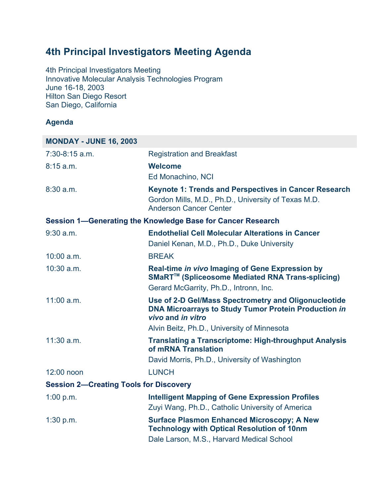## **4th Principal Investigators Meeting Agenda**

4th Principal Investigators Meeting Innovative Molecular Analysis Technologies Program June 16-18, 2003 Hilton San Diego Resort San Diego, California

## **Agenda**

| <b>MONDAY - JUNE 16, 2003</b>                 |                                                                                                                                               |
|-----------------------------------------------|-----------------------------------------------------------------------------------------------------------------------------------------------|
| $7:30-8:15$ a.m.                              | <b>Registration and Breakfast</b>                                                                                                             |
| 8:15a.m.                                      | <b>Welcome</b>                                                                                                                                |
|                                               | Ed Monachino, NCI                                                                                                                             |
| $8:30$ a.m.                                   | Keynote 1: Trends and Perspectives in Cancer Research<br>Gordon Mills, M.D., Ph.D., University of Texas M.D.<br><b>Anderson Cancer Center</b> |
|                                               | Session 1-Generating the Knowledge Base for Cancer Research                                                                                   |
| $9:30$ a.m.                                   | <b>Endothelial Cell Molecular Alterations in Cancer</b><br>Daniel Kenan, M.D., Ph.D., Duke University                                         |
| $10:00$ a.m.                                  | <b>BREAK</b>                                                                                                                                  |
| $10:30$ a.m.                                  | Real-time in vivo Imaging of Gene Expression by<br>SMaRT™ (Spliceosome Mediated RNA Trans-splicing)                                           |
|                                               | Gerard McGarrity, Ph.D., Intronn, Inc.                                                                                                        |
| 11:00 a.m.                                    | Use of 2-D Gel/Mass Spectrometry and Oligonucleotide<br><b>DNA Microarrays to Study Tumor Protein Production in</b><br>vivo and in vitro      |
|                                               | Alvin Beitz, Ph.D., University of Minnesota                                                                                                   |
| $11:30$ a.m.                                  | <b>Translating a Transcriptome: High-throughput Analysis</b><br>of mRNA Translation                                                           |
|                                               | David Morris, Ph.D., University of Washington                                                                                                 |
| 12:00 noon                                    | <b>LUNCH</b>                                                                                                                                  |
| <b>Session 2-Creating Tools for Discovery</b> |                                                                                                                                               |
| 1:00 p.m.                                     | <b>Intelligent Mapping of Gene Expression Profiles</b><br>Zuyi Wang, Ph.D., Catholic University of America                                    |
| 1:30 p.m.                                     | <b>Surface Plasmon Enhanced Microscopy; A New</b><br><b>Technology with Optical Resolution of 10nm</b>                                        |
|                                               | Dale Larson, M.S., Harvard Medical School                                                                                                     |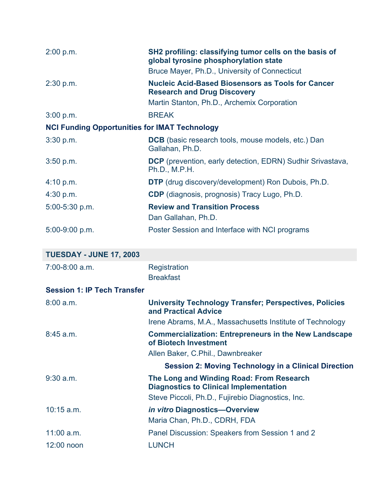| 2:00 p.m.                                            | SH2 profiling: classifying tumor cells on the basis of<br>global tyrosine phosphorylation state                                               |
|------------------------------------------------------|-----------------------------------------------------------------------------------------------------------------------------------------------|
|                                                      | Bruce Mayer, Ph.D., University of Connecticut                                                                                                 |
| 2:30 p.m.                                            | <b>Nucleic Acid-Based Biosensors as Tools for Cancer</b><br><b>Research and Drug Discovery</b><br>Martin Stanton, Ph.D., Archemix Corporation |
| 3:00 p.m.                                            | <b>BREAK</b>                                                                                                                                  |
| <b>NCI Funding Opportunities for IMAT Technology</b> |                                                                                                                                               |
| 3:30 p.m.                                            | <b>DCB</b> (basic research tools, mouse models, etc.) Dan<br>Gallahan, Ph.D.                                                                  |
| 3:50 p.m.                                            | <b>DCP</b> (prevention, early detection, EDRN) Sudhir Srivastava,<br>Ph.D., M.P.H.                                                            |
| 4:10 p.m.                                            | <b>DTP</b> (drug discovery/development) Ron Dubois, Ph.D.                                                                                     |
| 4:30 p.m.                                            | <b>CDP</b> (diagnosis, prognosis) Tracy Lugo, Ph.D.                                                                                           |
| 5:00-5:30 p.m.                                       | <b>Review and Transition Process</b><br>Dan Gallahan, Ph.D.                                                                                   |
| 5:00-9:00 p.m.                                       | Poster Session and Interface with NCI programs                                                                                                |
| <b>TUESDAY - JUNE 17, 2003</b>                       |                                                                                                                                               |
| $7:00-8:00$ a.m.                                     | Registration<br><b>Breakfast</b>                                                                                                              |
| <b>Session 1: IP Tech Transfer</b>                   |                                                                                                                                               |
| 8:00 a.m.                                            | <b>University Technology Transfer; Perspectives, Policies</b><br>and Practical Advice                                                         |
|                                                      | Irene Abrams, M.A., Massachusetts Institute of Technology                                                                                     |
| 8:45 a.m.                                            | <b>Commercialization: Entrepreneurs in the New Landscape</b><br>of Biotech Investment                                                         |
|                                                      | Allen Baker, C.Phil., Dawnbreaker                                                                                                             |

|              | <b>Session 2: Moving Technology in a Clinical Direction</b>                               |
|--------------|-------------------------------------------------------------------------------------------|
| $9:30$ a.m.  | The Long and Winding Road: From Research<br><b>Diagnostics to Clinical Implementation</b> |
|              | Steve Piccoli, Ph.D., Fujirebio Diagnostics, Inc.                                         |
| $10:15$ a.m. | <i>in vitro Diagnostics-Overview</i>                                                      |
|              | Maria Chan, Ph.D., CDRH, FDA                                                              |
| $11:00$ a.m. | Panel Discussion: Speakers from Session 1 and 2                                           |
| $12:00$ noon | LUNCH                                                                                     |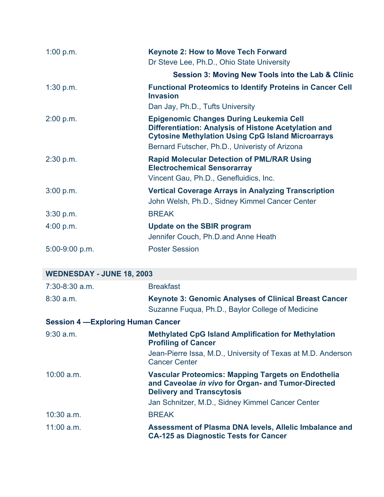| 1:00 p.m.      | <b>Keynote 2: How to Move Tech Forward</b><br>Dr Steve Lee, Ph.D., Ohio State University                                                                           |
|----------------|--------------------------------------------------------------------------------------------------------------------------------------------------------------------|
|                | <b>Session 3: Moving New Tools into the Lab &amp; Clinic</b>                                                                                                       |
| $1:30$ p.m.    | <b>Functional Proteomics to Identify Proteins in Cancer Cell</b><br><b>Invasion</b>                                                                                |
|                | Dan Jay, Ph.D., Tufts University                                                                                                                                   |
| 2:00 p.m.      | <b>Epigenomic Changes During Leukemia Cell</b><br>Differentiation: Analysis of Histone Acetylation and<br><b>Cytosine Methylation Using CpG Island Microarrays</b> |
|                | Bernard Futscher, Ph.D., Univeristy of Arizona                                                                                                                     |
| 2:30 p.m.      | <b>Rapid Molecular Detection of PML/RAR Using</b><br><b>Electrochemical Sensorarray</b><br>Vincent Gau, Ph.D., Genefluidics, Inc.                                  |
| 3:00 p.m.      | <b>Vertical Coverage Arrays in Analyzing Transcription</b><br>John Welsh, Ph.D., Sidney Kimmel Cancer Center                                                       |
| 3:30 p.m.      | <b>BREAK</b>                                                                                                                                                       |
| 4:00 p.m.      | <b>Update on the SBIR program</b><br>Jennifer Couch, Ph.D.and Anne Heath                                                                                           |
| 5:00-9:00 p.m. | <b>Poster Session</b>                                                                                                                                              |

| <b>WEDNESDAY - JUNE 18, 2003</b>          |                                                                                                                                                     |  |
|-------------------------------------------|-----------------------------------------------------------------------------------------------------------------------------------------------------|--|
| $7:30-8:30$ a.m.                          | <b>Breakfast</b>                                                                                                                                    |  |
| $8:30$ a.m.                               | <b>Keynote 3: Genomic Analyses of Clinical Breast Cancer</b><br>Suzanne Fugua, Ph.D., Baylor College of Medicine                                    |  |
| <b>Session 4 - Exploring Human Cancer</b> |                                                                                                                                                     |  |
| $9:30$ a.m.                               | <b>Methylated CpG Island Amplification for Methylation</b><br><b>Profiling of Cancer</b>                                                            |  |
|                                           | Jean-Pierre Issa, M.D., University of Texas at M.D. Anderson<br><b>Cancer Center</b>                                                                |  |
| $10:00$ a.m.                              | <b>Vascular Proteomics: Mapping Targets on Endothelia</b><br>and Caveolae in vivo for Organ- and Tumor-Directed<br><b>Delivery and Transcytosis</b> |  |
|                                           | Jan Schnitzer, M.D., Sidney Kimmel Cancer Center                                                                                                    |  |
| $10:30$ a.m.                              | <b>BREAK</b>                                                                                                                                        |  |
| $11:00$ a.m.                              | Assessment of Plasma DNA levels, Allelic Imbalance and<br><b>CA-125 as Diagnostic Tests for Cancer</b>                                              |  |